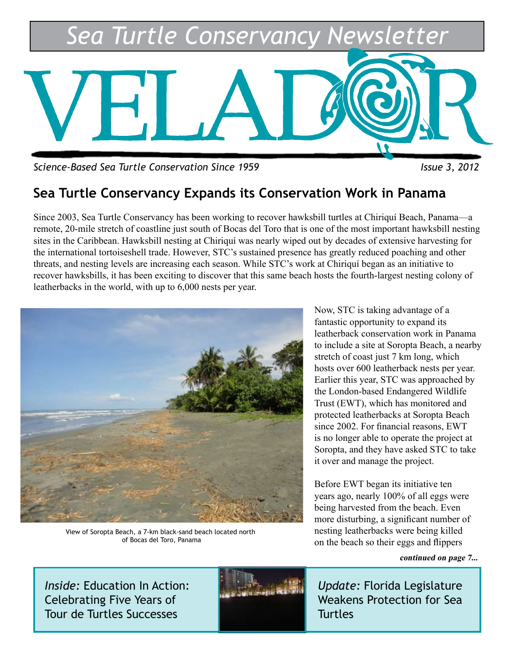

*Science-Based Sea Turtle Conservation Since 1959 Issue 3, 2012*

### **Sea Turtle Conservancy Expands its Conservation Work in Panama**

Since 2003, Sea Turtle Conservancy has been working to recover hawksbill turtles at Chiriquí Beach, Panama—a remote, 20-mile stretch of coastline just south of Bocas del Toro that is one of the most important hawksbill nesting sites in the Caribbean. Hawksbill nesting at Chiriquí was nearly wiped out by decades of extensive harvesting for the international tortoiseshell trade. However, STC's sustained presence has greatly reduced poaching and other threats, and nesting levels are increasing each season. While STC's work at Chiriquí began as an initiative to recover hawksbills, it has been exciting to discover that this same beach hosts the fourth-largest nesting colony of leatherbacks in the world, with up to 6,000 nests per year.



View of Soropta Beach, a 7-km black-sand beach located north of Bocas del Toro, Panama

Now, STC is taking advantage of a fantastic opportunity to expand its leatherback conservation work in Panama to include a site at Soropta Beach, a nearby stretch of coast just 7 km long, which hosts over 600 leatherback nests per year. Earlier this year, STC was approached by the London-based Endangered Wildlife Trust (EWT), which has monitored and protected leatherbacks at Soropta Beach since 2002. For financial reasons, EWT is no longer able to operate the project at Soropta, and they have asked STC to take it over and manage the project.

Before EWT began its initiative ten years ago, nearly 100% of all eggs were being harvested from the beach. Even more disturbing, a significant number of nesting leatherbacks were being killed on the beach so their eggs and flippers

**continued on page 7...**

*Inside:* Education In Action: Celebrating Five Years of Tour de Turtles Successes



*Update:* Florida Legislature Weakens Protection for Sea **Turtles**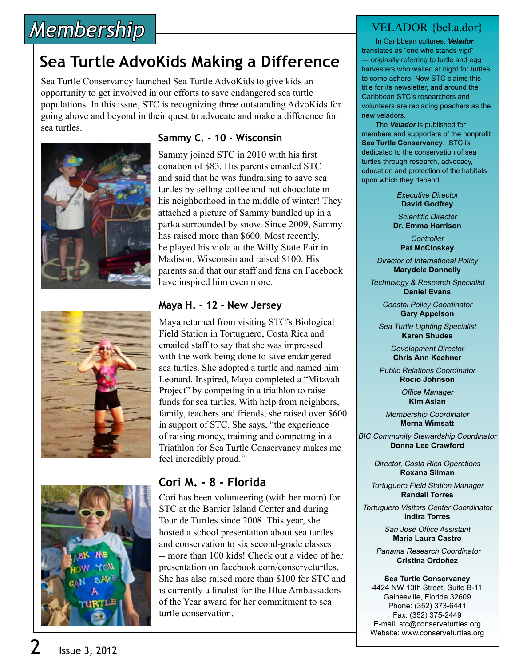# *Membership*

## **Sea Turtle AdvoKids Making a Difference**

Sea Turtle Conservancy launched Sea Turtle AdvoKids to give kids an opportunity to get involved in our efforts to save endangered sea turtle populations. In this issue, STC is recognizing three outstanding AdvoKids for going above and beyond in their quest to advocate and make a difference for sea turtles.







#### **Sammy C. - 10 - Wisconsin**

Sammy joined STC in 2010 with his first donation of \$83. His parents emailed STC and said that he was fundraising to save sea turtles by selling coffee and hot chocolate in his neighborhood in the middle of winter! They attached a picture of Sammy bundled up in a parka surrounded by snow. Since 2009, Sammy has raised more than \$600. Most recently, he played his viola at the Willy State Fair in Madison, Wisconsin and raised \$100. His parents said that our staff and fans on Facebook have inspired him even more.

#### **Maya H. - 12 - New Jersey**

Maya returned from visiting STC's Biological Field Station in Tortuguero, Costa Rica and emailed staff to say that she was impressed with the work being done to save endangered sea turtles. She adopted a turtle and named him Leonard. Inspired, Maya completed a "Mitzvah Project" by competing in a triathlon to raise funds for sea turtles. With help from neighbors, family, teachers and friends, she raised over \$600 in support of STC. She says, "the experience of raising money, training and competing in a Triathlon for Sea Turtle Conservancy makes me feel incredibly proud."

#### **Cori M. - 8 - Florida**

Cori has been volunteering (with her mom) for STC at the Barrier Island Center and during Tour de Turtles since 2008. This year, she hosted a school presentation about sea turtles and conservation to six second-grade classes -- more than 100 kids! Check out a video of her presentation on facebook.com/conserveturtles. She has also raised more than \$100 for STC and is currently a finalist for the Blue Ambassadors of the Year award for her commitment to sea turtle conservation.

#### VELADOR {bel.a.dor}

 In Caribbean cultures, **Velador** translates as "one who stands vigil" — originally referring to turtle and egg harvesters who waited at night for turtles to come ashore. Now STC claims this title for its newsletter, and around the Caribbean STC's researchers and volunteers are replacing poachers as the new veladors.

 The **Velador** is published for members and supporters of the nonprofit **Sea Turtle Conservancy**. STC is dedicated to the conservation of sea turtles through research, advocacy, education and protection of the habitats upon which they depend.

> Executive Director **David Godfrey**

Scientific Director **Dr. Emma Harrison**

**Controller Pat McCloskey**

Director of International Policy **Marydele Donnelly**

Technology & Research Specialist **Daniel Evans**

> Coastal Policy Coordinator **Gary Appelson**

Sea Turtle Lighting Specialist **Karen Shudes**

> Development Director **Chris Ann Keehner**

Public Relations Coordinator **Rocio Johnson**

> Office Manager **Kim Aslan**

Membership Coordinator **Merna Wimsatt**

BIC Community Stewardship Coordinator **Donna Lee Crawford**

> Director, Costa Rica Operations **Roxana Silman**

Tortuguero Field Station Manager **Randall Torres**

Tortuguero Visitors Center Coordinator **Indira Torres**

> San José Office Assistant **Maria Laura Castro**

Panama Research Coordinator **Cristina Ordoñez**

**Sea Turtle Conservancy**

4424 NW 13th Street, Suite B-11 Gainesville, Florida 32609 Phone: (352) 373-6441 Fax: (352) 375-2449 E-mail: stc@conserveturtles.org Website: www.conserveturtles.org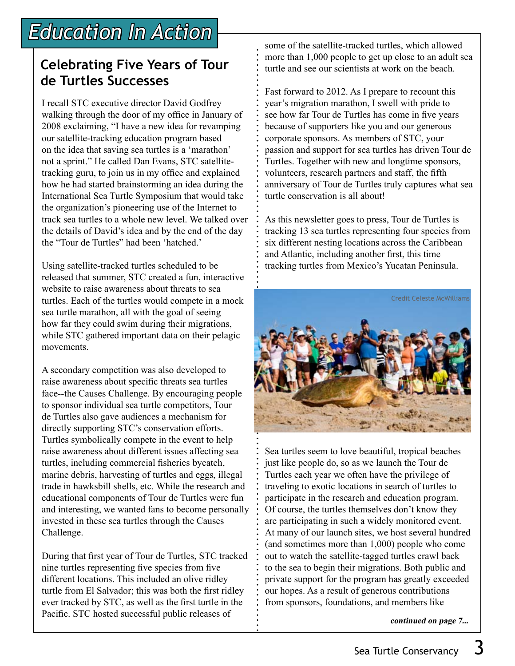## **Celebrating Five Years of Tour de Turtles Successes**

I recall STC executive director David Godfrey walking through the door of my office in January of 2008 exclaiming, "I have a new idea for revamping our satellite-tracking education program based on the idea that saving sea turtles is a 'marathon' not a sprint." He called Dan Evans, STC satellitetracking guru, to join us in my office and explained how he had started brainstorming an idea during the International Sea Turtle Symposium that would take the organization's pioneering use of the Internet to track sea turtles to a whole new level. We talked over the details of David's idea and by the end of the day the "Tour de Turtles" had been 'hatched.'

Using satellite-tracked turtles scheduled to be released that summer, STC created a fun, interactive website to raise awareness about threats to sea turtles. Each of the turtles would compete in a mock sea turtle marathon, all with the goal of seeing how far they could swim during their migrations, while STC gathered important data on their pelagic movements.

A secondary competition was also developed to raise awareness about specific threats sea turtles face--the Causes Challenge. By encouraging people to sponsor individual sea turtle competitors, Tour de Turtles also gave audiences a mechanism for directly supporting STC's conservation efforts. Turtles symbolically compete in the event to help raise awareness about different issues affecting sea turtles, including commercial fisheries bycatch, marine debris, harvesting of turtles and eggs, illegal trade in hawksbill shells, etc. While the research and educational components of Tour de Turtles were fun and interesting, we wanted fans to become personally invested in these sea turtles through the Causes Challenge.

During that first year of Tour de Turtles, STC tracked nine turtles representing five species from five different locations. This included an olive ridley turtle from El Salvador; this was both the first ridley ever tracked by STC, as well as the first turtle in the Pacific. STC hosted successful public releases of

some of the satellite-tracked turtles, which allowed more than 1,000 people to get up close to an adult sea turtle and see our scientists at work on the beach.

Fast forward to 2012. As I prepare to recount this year's migration marathon, I swell with pride to see how far Tour de Turtles has come in five years because of supporters like you and our generous corporate sponsors. As members of STC, your passion and support for sea turtles has driven Tour de Turtles. Together with new and longtime sponsors, volunteers, research partners and staff, the fifth anniversary of Tour de Turtles truly captures what sea turtle conservation is all about!

As this newsletter goes to press, Tour de Turtles is tracking 13 sea turtles representing four species from six different nesting locations across the Caribbean and Atlantic, including another first, this time tracking turtles from Mexico's Yucatan Peninsula.



Sea turtles seem to love beautiful, tropical beaches just like people do, so as we launch the Tour de Turtles each year we often have the privilege of traveling to exotic locations in search of turtles to participate in the research and education program. Of course, the turtles themselves don't know they are participating in such a widely monitored event. At many of our launch sites, we host several hundred (and sometimes more than 1,000) people who come out to watch the satellite-tagged turtles crawl back to the sea to begin their migrations. Both public and private support for the program has greatly exceeded our hopes. As a result of generous contributions from sponsors, foundations, and members like

**continued on page 7...**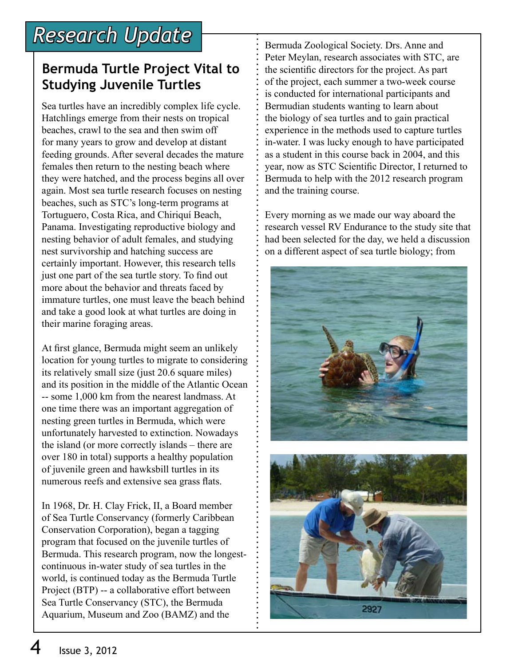#### **Bermuda Turtle Project Vital to Studying Juvenile Turtles**

Sea turtles have an incredibly complex life cycle. Hatchlings emerge from their nests on tropical beaches, crawl to the sea and then swim off for many years to grow and develop at distant feeding grounds. After several decades the mature females then return to the nesting beach where they were hatched, and the process begins all over again. Most sea turtle research focuses on nesting beaches, such as STC's long-term programs at Tortuguero, Costa Rica, and Chiriquí Beach, Panama. Investigating reproductive biology and nesting behavior of adult females, and studying nest survivorship and hatching success are certainly important. However, this research tells just one part of the sea turtle story. To find out more about the behavior and threats faced by immature turtles, one must leave the beach behind and take a good look at what turtles are doing in their marine foraging areas.

At first glance, Bermuda might seem an unlikely location for young turtles to migrate to considering its relatively small size (just 20.6 square miles) and its position in the middle of the Atlantic Ocean -- some 1,000 km from the nearest landmass. At one time there was an important aggregation of nesting green turtles in Bermuda, which were unfortunately harvested to extinction. Nowadays the island (or more correctly islands – there are over 180 in total) supports a healthy population of juvenile green and hawksbill turtles in its numerous reefs and extensive sea grass flats.

In 1968, Dr. H. Clay Frick, II, a Board member of Sea Turtle Conservancy (formerly Caribbean Conservation Corporation), began a tagging program that focused on the juvenile turtles of Bermuda. This research program, now the longestcontinuous in-water study of sea turtles in the world, is continued today as the Bermuda Turtle Project (BTP) -- a collaborative effort between Sea Turtle Conservancy (STC), the Bermuda Aquarium, Museum and Zoo (BAMZ) and the

Bermuda Zoological Society. Drs. Anne and Peter Meylan, research associates with STC, are the scientific directors for the project. As part of the project, each summer a two-week course is conducted for international participants and Bermudian students wanting to learn about the biology of sea turtles and to gain practical experience in the methods used to capture turtles in-water. I was lucky enough to have participated as a student in this course back in 2004, and this year, now as STC Scientific Director, I returned to Bermuda to help with the 2012 research program and the training course.

Every morning as we made our way aboard the research vessel RV Endurance to the study site that had been selected for the day, we held a discussion on a different aspect of sea turtle biology; from

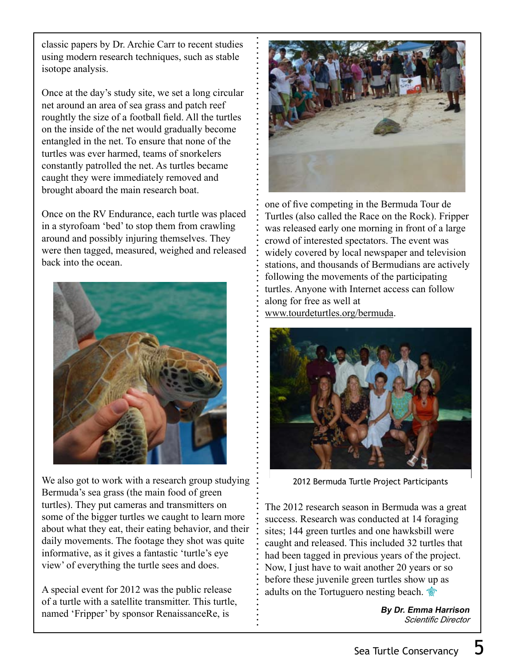classic papers by Dr. Archie Carr to recent studies using modern research techniques, such as stable isotope analysis.

Once at the day's study site, we set a long circular net around an area of sea grass and patch reef roughtly the size of a football field. All the turtles on the inside of the net would gradually become entangled in the net. To ensure that none of the turtles was ever harmed, teams of snorkelers constantly patrolled the net. As turtles became caught they were immediately removed and brought aboard the main research boat.

Once on the RV Endurance, each turtle was placed in a styrofoam 'bed' to stop them from crawling around and possibly injuring themselves. They were then tagged, measured, weighed and released back into the ocean.



We also got to work with a research group studying Bermuda's sea grass (the main food of green turtles). They put cameras and transmitters on some of the bigger turtles we caught to learn more about what they eat, their eating behavior, and their daily movements. The footage they shot was quite informative, as it gives a fantastic 'turtle's eye view' of everything the turtle sees and does.

A special event for 2012 was the public release of a turtle with a satellite transmitter. This turtle, named 'Fripper' by sponsor RenaissanceRe, is



one of five competing in the Bermuda Tour de Turtles (also called the Race on the Rock). Fripper was released early one morning in front of a large crowd of interested spectators. The event was widely covered by local newspaper and television stations, and thousands of Bermudians are actively following the movements of the participating turtles. Anyone with Internet access can follow along for free as well at www.tourdeturtles.org/bermuda.



2012 Bermuda Turtle Project Participants

The 2012 research season in Bermuda was a great success. Research was conducted at 14 foraging sites; 144 green turtles and one hawksbill were caught and released. This included 32 turtles that had been tagged in previous years of the project. Now, I just have to wait another 20 years or so before these juvenile green turtles show up as adults on the Tortuguero nesting beach.

> **By Dr. Emma Harrison** *Scientific Director*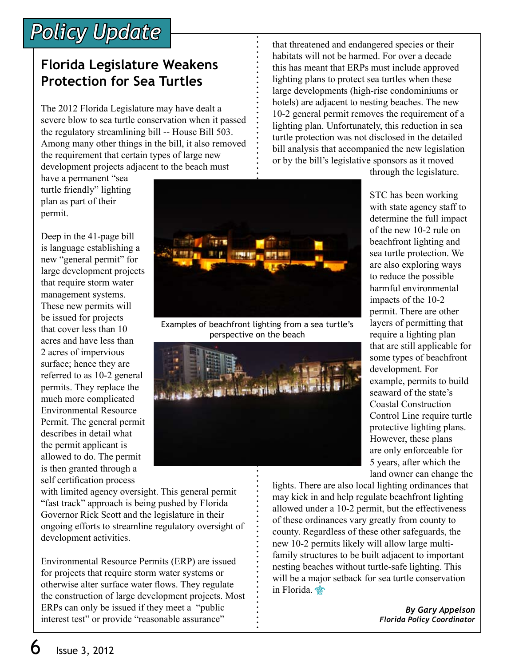# *Policy Update*

### **Florida Legislature Weakens Protection for Sea Turtles**

The 2012 Florida Legislature may have dealt a severe blow to sea turtle conservation when it passed the regulatory streamlining bill -- House Bill 503. Among many other things in the bill, it also removed the requirement that certain types of large new development projects adjacent to the beach must

have a permanent "sea turtle friendly" lighting plan as part of their permit.

Deep in the 41-page bill is language establishing a new "general permit" for large development projects that require storm water management systems. These new permits will be issued for projects that cover less than 10 acres and have less than 2 acres of impervious surface; hence they are referred to as 10-2 general permits. They replace the much more complicated Environmental Resource Permit. The general permit describes in detail what the permit applicant is allowed to do. The permit is then granted through a self certification process

with limited agency oversight. This general permit "fast track" approach is being pushed by Florida Governor Rick Scott and the legislature in their ongoing efforts to streamline regulatory oversight of development activities.

Environmental Resource Permits (ERP) are issued for projects that require storm water systems or otherwise alter surface water flows. They regulate the construction of large development projects. Most ERPs can only be issued if they meet a "public interest test" or provide "reasonable assurance"

that threatened and endangered species or their habitats will not be harmed. For over a decade this has meant that ERPs must include approved lighting plans to protect sea turtles when these large developments (high-rise condominiums or hotels) are adjacent to nesting beaches. The new 10-2 general permit removes the requirement of a lighting plan. Unfortunately, this reduction in sea turtle protection was not disclosed in the detailed bill analysis that accompanied the new legislation or by the bill's legislative sponsors as it moved

through the legislature.



lights. There are also local lighting ordinances that may kick in and help regulate beachfront lighting allowed under a 10-2 permit, but the effectiveness of these ordinances vary greatly from county to county. Regardless of these other safeguards, the new 10-2 permits likely will allow large multifamily structures to be built adjacent to important nesting beaches without turtle-safe lighting. This will be a major setback for sea turtle conservation in Florida.

> *By Gary Appelson Florida Policy Coordinator*



Examples of beachfront lighting from a sea turtle's perspective on the beach

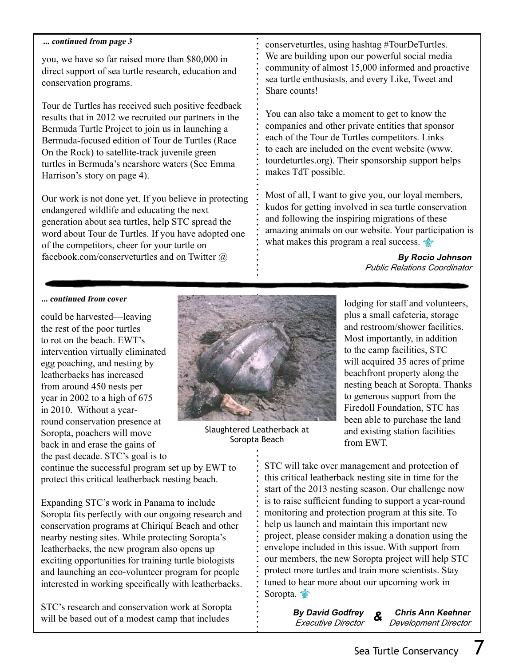#### **... continued from page 3**

you, we have so far raised more than \$80,000 in direct support of sea turtle research, education and conservation programs.

Tour de Turtles has received such positive feedback results that in 2012 we recruited our partners in the Bermuda Turtle Project to join us in launching a Bermuda-focused edition of Tour de Turtles (Race On the Rock) to satellite-track juvenile green turtles in Bermuda's nearshore waters (See Emma Harrison's story on page 4).

Our work is not done yet. If you believe in protecting endangered wildlife and educating the next generation about sea turtles, help STC spread the word about Tour de Turtles. If you have adopted one of the competitors, cheer for your turtle on facebook.com/conserveturtles and on Twitter @

conserveturtles, using hashtag #TourDeTurtles. We are building upon our powerful social media community of almost 15,000 informed and proactive sea turtle enthusiasts, and every Like, Tweet and Share counts!

You can also take a moment to get to know the companies and other private entities that sponsor each of the Tour de Turtles competitors. Links to each are included on the event website (www. tourdeturtles.org). Their sponsorship support helps makes TdT possible.

Most of all, I want to give you, our loyal members, kudos for getting involved in sea turtle conservation and following the inspiring migrations of these amazing animals on our website. Your participation is what makes this program a real success.

> **By Rocio Johnson** *Public Relations Coordinator*

#### **... continued from cover**

could be harvested—leaving the rest of the poor turtles to rot on the beach. EWT's intervention virtually eliminated egg poaching, and nesting by leatherbacks has increased from around 450 nests per year in 2002 to a high of 675 in 2010. Without a yearround conservation presence at Soropta, poachers will move back in and erase the gains of the past decade. STC's goal is to



Slaughtered Leatherback at Soropta Beach

lodging for staff and volunteers, plus a small cafeteria, storage and restroom/shower facilities. Most importantly, in addition to the camp facilities, STC will acquired 35 acres of prime beachfront property along the nesting beach at Soropta. Thanks to generous support from the Firedoll Foundation, STC has been able to purchase the land and existing station facilities from EWT.

continue the successful program set up by EWT to protect this critical leatherback nesting beach.

Expanding STC's work in Panama to include Soropta fits perfectly with our ongoing research and conservation programs at Chiriquí Beach and other nearby nesting sites. While protecting Soropta's leatherbacks, the new program also opens up exciting opportunities for training turtle biologists and launching an eco-volunteer program for people interested in working specifically with leatherbacks.

STC's research and conservation work at Soropta will be based out of a modest camp that includes

STC will take over management and protection of this critical leatherback nesting site in time for the start of the 2013 nesting season. Our challenge now is to raise sufficient funding to support a year-round monitoring and protection program at this site. To help us launch and maintain this important new project, please consider making a donation using the envelope included in this issue. With support from our members, the new Soropta project will help STC protect more turtles and train more scientists. Stay tuned to hear more about our upcoming work in Soropta.

> **By David Godfrey** *Executive Director*

**Chris Ann Keehner** *Development Director* **&**